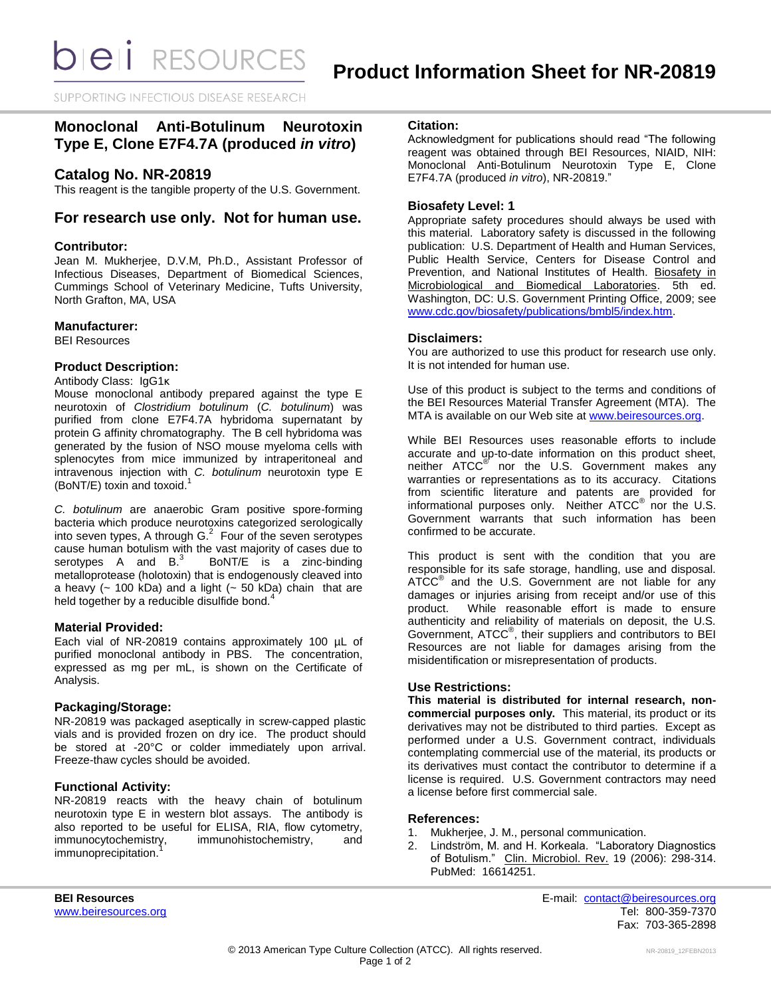SUPPORTING INFECTIOUS DISEASE RESEARCH

# **Monoclonal Anti-Botulinum Neurotoxin Type E, Clone E7F4.7A (produced** *in vitro***)**

# **Catalog No. NR-20819**

This reagent is the tangible property of the U.S. Government.

## **For research use only. Not for human use.**

#### **Contributor:**

Jean M. Mukherjee, D.V.M, Ph.D., Assistant Professor of Infectious Diseases, Department of Biomedical Sciences, Cummings School of Veterinary Medicine, Tufts University, North Grafton, MA, USA

#### **Manufacturer:**

BEI Resources

### **Product Description:**

#### Antibody Class: IgG1κ

Mouse monoclonal antibody prepared against the type E neurotoxin of *Clostridium botulinum* (*C. botulinum*) was purified from clone E7F4.7A hybridoma supernatant by protein G affinity chromatography. The B cell hybridoma was generated by the fusion of NSO mouse myeloma cells with splenocytes from mice immunized by intraperitoneal and intravenous injection with *C. botulinum* neurotoxin type E (BoNT/E) toxin and toxoid. 1

*C. botulinum* are anaerobic Gram positive spore-forming bacteria which produce neurotoxins categorized serologically into seven types, A through  $G<sup>2</sup>$  Four of the seven serotypes cause human botulism with the vast majority of cases due to serotypes  $A$  and  $B$ .<sup>3</sup> BoNT/E is a zinc-binding metalloprotease (holotoxin) that is endogenously cleaved into a heavy  $(-100 \text{ kDa})$  and a light  $(-50 \text{ kDa})$  chain that are held together by a reducible disulfide bond.<sup>4</sup>

#### **Material Provided:**

Each vial of NR-20819 contains approximately 100 µL of purified monoclonal antibody in PBS. The concentration, expressed as mg per mL, is shown on the Certificate of Analysis.

#### **Packaging/Storage:**

NR-20819 was packaged aseptically in screw-capped plastic vials and is provided frozen on dry ice. The product should be stored at -20°C or colder immediately upon arrival. Freeze-thaw cycles should be avoided.

#### **Functional Activity:**

NR-20819 reacts with the heavy chain of botulinum neurotoxin type E in western blot assays. The antibody is also reported to be useful for ELISA, RIA, flow cytometry, immunocytochemistry, immunohistochemistry, and immunoprecipitation.

### **Citation:**

Acknowledgment for publications should read "The following reagent was obtained through BEI Resources, NIAID, NIH: Monoclonal Anti-Botulinum Neurotoxin Type E, Clone E7F4.7A (produced *in vitro*), NR-20819."

#### **Biosafety Level: 1**

Appropriate safety procedures should always be used with this material. Laboratory safety is discussed in the following publication: U.S. Department of Health and Human Services, Public Health Service, Centers for Disease Control and Prevention, and National Institutes of Health. Biosafety in Microbiological and Biomedical Laboratories. 5th ed. Washington, DC: U.S. Government Printing Office, 2009; see [www.cdc.gov/biosafety/publications/bmbl5/index.htm.](http://www.cdc.gov/biosafety/publications/bmbl5/index.htm)

#### **Disclaimers:**

You are authorized to use this product for research use only. It is not intended for human use.

Use of this product is subject to the terms and conditions of the BEI Resources Material Transfer Agreement (MTA). The MTA is available on our Web site at [www.beiresources.org.](http://www.beiresources.org/)

While BEI Resources uses reasonable efforts to include accurate and up-to-date information on this product sheet, neither ATCC<sup>®</sup> nor the U.S. Government makes any warranties or representations as to its accuracy. Citations from scientific literature and patents are provided for informational purposes only. Neither  $ATCC^{\circledast}$  nor the U.S. Government warrants that such information has been confirmed to be accurate.

This product is sent with the condition that you are responsible for its safe storage, handling, use and disposal. ATCC<sup>®</sup> and the U.S. Government are not liable for any damages or injuries arising from receipt and/or use of this product. While reasonable effort is made to ensure authenticity and reliability of materials on deposit, the U.S. Government, ATCC<sup>®</sup>, their suppliers and contributors to BEI Resources are not liable for damages arising from the misidentification or misrepresentation of products.

#### **Use Restrictions:**

**This material is distributed for internal research, noncommercial purposes only.** This material, its product or its derivatives may not be distributed to third parties. Except as performed under a U.S. Government contract, individuals contemplating commercial use of the material, its products or its derivatives must contact the contributor to determine if a license is required. U.S. Government contractors may need a license before first commercial sale.

#### **References:**

- 1. Mukherjee, J. M., personal communication.
- 2. Lindström, M. and H. Korkeala. "Laboratory Diagnostics of Botulism." Clin. Microbiol. Rev. 19 (2006): 298-314. PubMed: 16614251.

**BEI Resources** E-mail: [contact@beiresources.org](mailto:contact@beiresources.org) [www.beiresources.org](http://www.beiresources.org/) **Tel: 800-359-7370** Fax: 703-365-2898